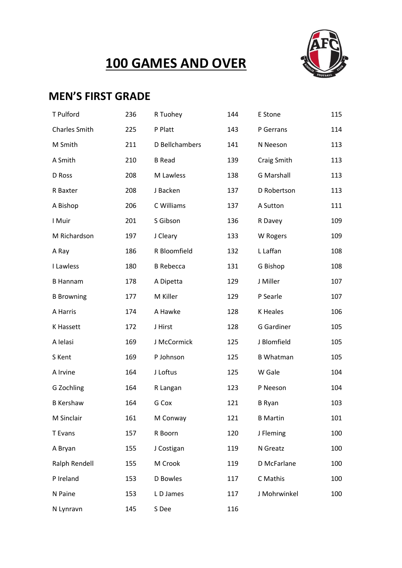## **100 GAMES AND OVER**



### **MEN'S FIRST GRADE**

| T Pulford            | 236 | R Tuohey         | 144 | E Stone           | 115 |
|----------------------|-----|------------------|-----|-------------------|-----|
| <b>Charles Smith</b> | 225 | P Platt          | 143 | P Gerrans         | 114 |
| M Smith              | 211 | D Bellchambers   | 141 | N Neeson          | 113 |
| A Smith              | 210 | <b>B</b> Read    | 139 | Craig Smith       | 113 |
| D Ross               | 208 | M Lawless        | 138 | <b>G</b> Marshall | 113 |
| R Baxter             | 208 | J Backen         | 137 | D Robertson       | 113 |
| A Bishop             | 206 | C Williams       | 137 | A Sutton          | 111 |
| I Muir               | 201 | S Gibson         | 136 | R Davey           | 109 |
| M Richardson         | 197 | J Cleary         | 133 | W Rogers          | 109 |
| A Ray                | 186 | R Bloomfield     | 132 | L Laffan          | 108 |
| I Lawless            | 180 | <b>B</b> Rebecca | 131 | G Bishop          | 108 |
| <b>B</b> Hannam      | 178 | A Dipetta        | 129 | J Miller          | 107 |
| <b>B</b> Browning    | 177 | M Killer         | 129 | P Searle          | 107 |
| A Harris             | 174 | A Hawke          | 128 | K Heales          | 106 |
| K Hassett            | 172 | J Hirst          | 128 | G Gardiner        | 105 |
| A Ielasi             | 169 | J McCormick      | 125 | J Blomfield       | 105 |
| S Kent               | 169 | P Johnson        | 125 | <b>B</b> Whatman  | 105 |
| A Irvine             | 164 | J Loftus         | 125 | W Gale            | 104 |
| G Zochling           | 164 | R Langan         | 123 | P Neeson          | 104 |
| <b>B</b> Kershaw     | 164 | G Cox            | 121 | <b>B</b> Ryan     | 103 |
| M Sinclair           | 161 | M Conway         | 121 | <b>B</b> Martin   | 101 |
| T Evans              | 157 | R Boorn          | 120 | J Fleming         | 100 |
| A Bryan              | 155 | J Costigan       | 119 | N Greatz          | 100 |
| Ralph Rendell        | 155 | M Crook          | 119 | D McFarlane       | 100 |
| P Ireland            | 153 | D Bowles         | 117 | C Mathis          | 100 |
| N Paine              | 153 | LD James         | 117 | J Mohrwinkel      | 100 |
| N Lynravn            | 145 | S Dee            | 116 |                   |     |